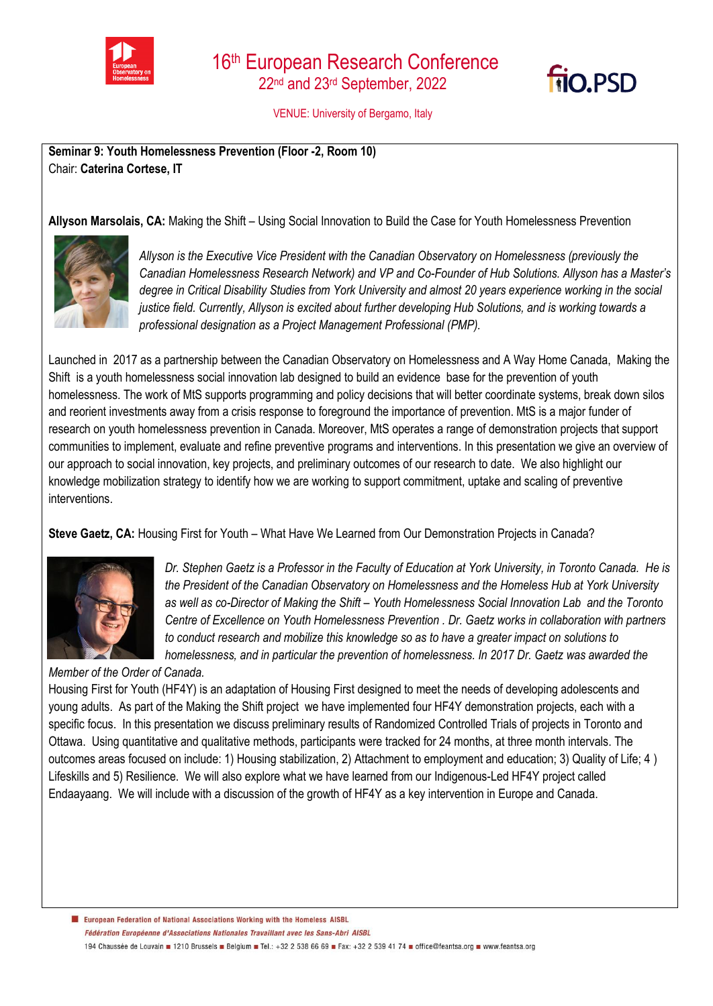



VENUE: University of Bergamo, Italy

**Seminar 9: Youth Homelessness Prevention (Floor -2, Room 10)** Chair: **Caterina Cortese, IT**

**Allyson Marsolais, CA:** Making the Shift – Using Social Innovation to Build the Case for Youth Homelessness Prevention



*Allyson is the Executive Vice President with the Canadian Observatory on Homelessness (previously the Canadian Homelessness Research Network) and VP and Co-Founder of Hub Solutions. Allyson has a Master's degree in Critical Disability Studies from York University and almost 20 years experience working in the social justice field. Currently, Allyson is excited about further developing Hub Solutions, and is working towards a professional designation as a Project Management Professional (PMP).*

Launched in 2017 as a partnership between the Canadian Observatory on Homelessness and A Way Home Canada, Making the Shift is a youth homelessness social innovation lab designed to build an evidence base for the prevention of youth homelessness. The work of MtS supports programming and policy decisions that will better coordinate systems, break down silos and reorient investments away from a crisis response to foreground the importance of prevention. MtS is a major funder of research on youth homelessness prevention in Canada. Moreover, MtS operates a range of demonstration projects that support communities to implement, evaluate and refine preventive programs and interventions. In this presentation we give an overview of our approach to social innovation, key projects, and preliminary outcomes of our research to date. We also highlight our knowledge mobilization strategy to identify how we are working to support commitment, uptake and scaling of preventive interventions.

**Steve Gaetz, CA:** Housing First for Youth – What Have We Learned from Our Demonstration Projects in Canada?



*Dr. Stephen Gaetz is a Professor in the Faculty of Education at York University, in Toronto Canada. He is the President of the Canadian Observatory on Homelessness and the Homeless Hub at York University as well as co-Director of Making the Shift – Youth Homelessness Social Innovation Lab and the Toronto Centre of Excellence on Youth Homelessness Prevention . Dr. Gaetz works in collaboration with partners to conduct research and mobilize this knowledge so as to have a greater impact on solutions to homelessness, and in particular the prevention of homelessness. In 2017 Dr. Gaetz was awarded the* 

*Member of the Order of Canada.*

Housing First for Youth (HF4Y) is an adaptation of Housing First designed to meet the needs of developing adolescents and young adults. As part of the Making the Shift project we have implemented four HF4Y demonstration projects, each with a specific focus. In this presentation we discuss preliminary results of Randomized Controlled Trials of projects in Toronto and Ottawa. Using quantitative and qualitative methods, participants were tracked for 24 months, at three month intervals. The outcomes areas focused on include: 1) Housing stabilization, 2) Attachment to employment and education; 3) Quality of Life; 4 ) Lifeskills and 5) Resilience. We will also explore what we have learned from our Indigenous-Led HF4Y project called Endaayaang. We will include with a discussion of the growth of HF4Y as a key intervention in Europe and Canada.